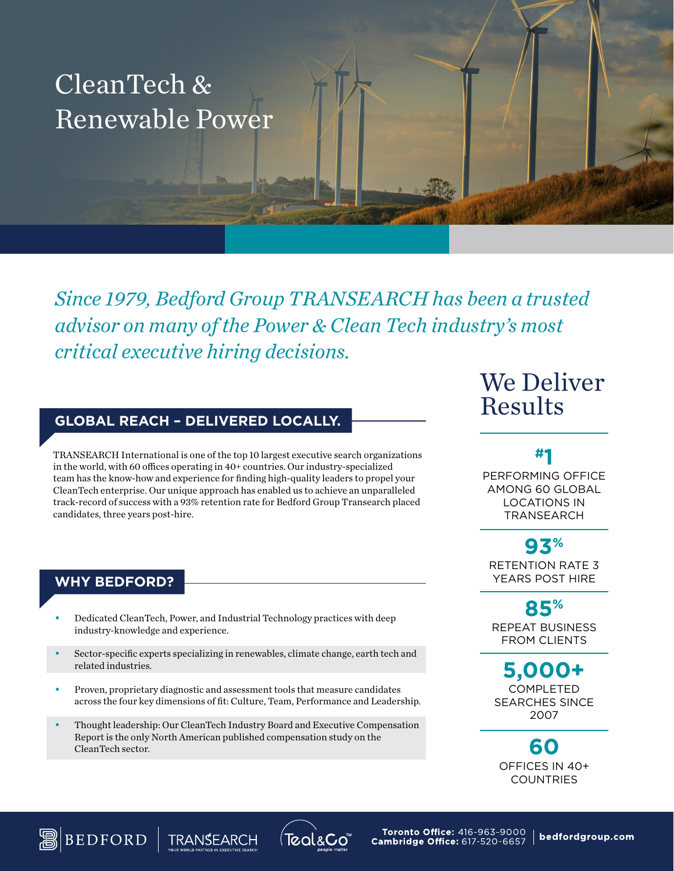# CleanTech & Renewable Power

*Since 1979, Bedford Group TRANSEARCH has been a trusted advisor on many of the Power & Clean Tech industry's most critical executive hiring decisions.*

### **GLOBAL REACH – DELIVERED LOCALLY.**

TRANSEARCH International is one of the top 10 largest executive search organizations in the world, with 60 offices operating in 40+ countries. Our industry-specialized team has the know-how and experience for finding high-quality leaders to propel your CleanTech enterprise. Our unique approach has enabled us to achieve an unparalleled track-record of success with a 93% retention rate for Bedford Group Transearch placed candidates, three years post-hire.

#### **WHY BEDFORD?**

**BEDFORD** 

- Dedicated CleanTech, Power, and Industrial Technology practices with deep industry-knowledge and experience.
- Sector-specific experts specializing in renewables, climate change, earth tech and related industries.
- Proven, proprietary diagnostic and assessment tools that measure candidates across the four key dimensions of fit: Culture, Team, Performance and Leadership.
- Thought leadership: Our CleanTech Industry Board and Executive Compensation Report is the only North American published compensation study on the CleanTech sector.

Teal&Co

**TRANSEARCH** 

## We Deliver Results

#### **#1**

PERFORMING OFFICE AMONG 60 GLOBAL LOCATIONS IN TRANSEARCH

RETENTION RATE 3 YEARS POST HIRE **93%**

REPEAT BUSINESS FROM CLIENTS **85%**

COMPLETED SEARCHES SINCE 2007 **5,000+**

OFFICES IN 40+ COUNTRIES **60**